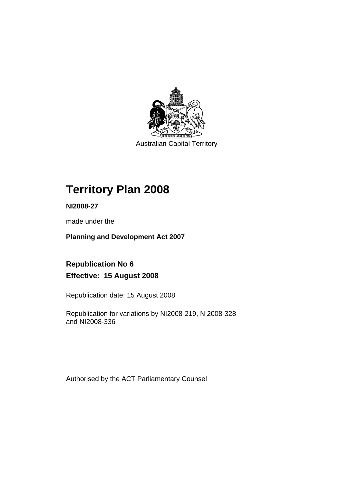

Australian Capital Territory

# **Territory Plan 2008**

**NI2008-27** 

made under the

**Planning and Development Act 2007** 

**Republication No 6 Effective: 15 August 2008** 

Republication date: 15 August 2008

Republication for variations by NI2008-219, NI2008-328 and NI2008-336

Authorised by the ACT Parliamentary Counsel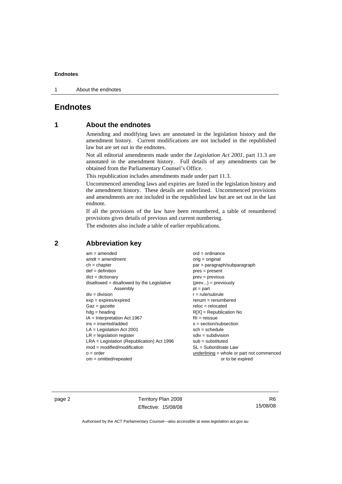1 About the endnotes

### **Endnotes**

#### **1 About the endnotes**

Amending and modifying laws are annotated in the legislation history and the amendment history. Current modifications are not included in the republished law but are set out in the endnotes.

Not all editorial amendments made under the *Legislation Act 2001*, part 11.3 are annotated in the amendment history. Full details of any amendments can be obtained from the Parliamentary Counsel's Office.

This republication includes amendments made under part 11.3.

Uncommenced amending laws and expiries are listed in the legislation history and the amendment history. These details are underlined. Uncommenced provisions and amendments are not included in the republished law but are set out in the last endnote.

If all the provisions of the law have been renumbered, a table of renumbered provisions gives details of previous and current numbering.

The endnotes also include a table of earlier republications.

#### **2 Abbreviation key**

| $am = amended$                               | $ord = ordinance$                   |
|----------------------------------------------|-------------------------------------|
| $amdt = amendment$                           | $orig = original$                   |
| $ch = chapter$                               | par = paragraph/subparagrapl        |
| $def = definition$                           | $pres = present$                    |
| $dict = dictionary$                          | $prev = previous$                   |
| $disallowed = disallowed by the Legislative$ | $(\text{prev}) = \text{previously}$ |
| Assembly                                     | $pt = part$                         |
| $div = division$                             | $r = rule/subrule$                  |
| $exp = expires/expired$                      | $renum = renumbered$                |
| $Gaz = gazette$                              | $reloc = relocated$                 |
| $hda =$ heading                              | $R[X]$ = Republication No           |
| $IA = Interpretation Act 1967$               | $RI =$ reissue                      |
| ins = inserted/added                         | $s = section/subsection$            |
| $LA =$ Legislation Act 2001                  | $sch = schedule$                    |
| $LR =$ legislation register                  | $sdiv = subdivision$                |
| $LRA =$ Legislation (Republication) Act 1996 | $sub =$ substituted                 |
| $mod = modified/modification$                | $SL = Subordinate$ Law              |
| $o = order$                                  | underlining $=$ whole or part no    |
| $om = omitted/repealed$                      | or to be expired                    |

agraph/subparagraph previously renumbered epublication No on/subsection bdivision ordinate Law og = whole or part not commenced

page 2 Territory Plan 2008 Effective: 15/08/08

R6 15/08/08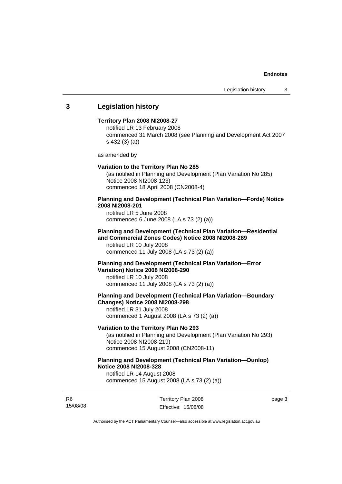#### **3 Legislation history**

#### **Territory Plan 2008 NI2008-27**

notified LR 13 February 2008 commenced 31 March 2008 (see Planning and Development Act 2007 s 432 (3) (a))

as amended by

#### **Variation to the Territory Plan No 285**

(as notified in Planning and Development (Plan Variation No 285) Notice 2008 NI2008-123) commenced 18 April 2008 (CN2008-4)

#### **Planning and Development (Technical Plan Variation—Forde) Notice 2008 NI2008-201**

notified LR 5 June 2008 commenced 6 June 2008 (LA s 73 (2) (a))

#### **Planning and Development (Technical Plan Variation—Residential and Commercial Zones Codes) Notice 2008 NI2008-289**

notified LR 10 July 2008 commenced 11 July 2008 (LA s 73 (2) (a))

#### **Planning and Development (Technical Plan Variation—Error Variation) Notice 2008 NI2008-290**

notified LR 10 July 2008 commenced 11 July 2008 (LA s 73 (2) (a))

#### **Planning and Development (Technical Plan Variation—Boundary Changes) Notice 2008 NI2008-298**

notified LR 31 July 2008 commenced 1 August 2008 (LA s 73 (2) (a))

#### **Variation to the Territory Plan No 293**

(as notified in Planning and Development (Plan Variation No 293) Notice 2008 NI2008-219) commenced 15 August 2008 (CN2008-11)

#### **Planning and Development (Technical Plan Variation—Dunlop) Notice 2008 NI2008-328**

notified LR 14 August 2008 commenced 15 August 2008 (LA s 73 (2) (a))

R6 15/08/08 Territory Plan 2008 Effective: 15/08/08 page 3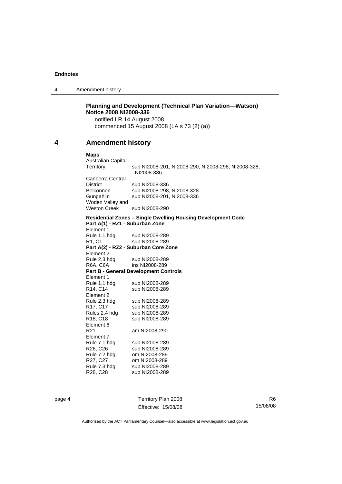4 Amendment history

#### **Planning and Development (Technical Plan Variation—Watson) Notice 2008 NI2008-336**

notified LR 14 August 2008 commenced 15 August 2008 (LA s 73 (2) (a))

#### **4 Amendment history**

#### **Maps**

Australian Capital<br>Territory sub NI2008-201, NI2008-290, NI2008-298, NI2008-328, NI2008-336 Canberra Central sub NI2008-336 Belconnen sub NI2008-298, NI2008-328 Gungahlin sub NI2008-201, NI2008-336 Woden Valley and<br>Weston Creek sub NI2008-290

#### **Residential Zones – Single Dwelling Housing Development Code Part A(1) - RZ1 - Suburban Zone**

| Element 1                            |                                       |  |  |  |  |  |
|--------------------------------------|---------------------------------------|--|--|--|--|--|
|                                      | Rule 1.1 hdg sub NI2008-289           |  |  |  |  |  |
| R1, C1                               | sub NI2008-289                        |  |  |  |  |  |
| Part A(2) - RZ2 - Suburban Core Zone |                                       |  |  |  |  |  |
| Element 2                            |                                       |  |  |  |  |  |
| Rule 2.3 hdg<br>R6A. C6A             | sub NI2008-289                        |  |  |  |  |  |
| R6A, C6A                             | ins NI2008-289                        |  |  |  |  |  |
|                                      | Part B - General Development Controls |  |  |  |  |  |
| Element 1                            |                                       |  |  |  |  |  |
| Rule 1.1 hdg                         | sub NI2008-289                        |  |  |  |  |  |
| R14, C14                             | sub NI2008-289                        |  |  |  |  |  |
| Element 2                            |                                       |  |  |  |  |  |
|                                      | Rule 2.3 hdg sub NI2008-289           |  |  |  |  |  |
| R17, C17                             | sub NI2008-289                        |  |  |  |  |  |
| Rules 2.4 hdg                        | sub NI2008-289                        |  |  |  |  |  |
| R18, C18                             | sub NI2008-289                        |  |  |  |  |  |
| Element 6                            |                                       |  |  |  |  |  |
| R21                                  | am NI2008-290                         |  |  |  |  |  |
| Element 7                            |                                       |  |  |  |  |  |
| Rule 7.1 hdg                         | sub NI2008-289                        |  |  |  |  |  |
| R26, C26                             | sub NI2008-289                        |  |  |  |  |  |
| Rule 7.2 hdg                         | om NI2008-289                         |  |  |  |  |  |
| R27, C27                             | om NI2008-289                         |  |  |  |  |  |
| Rule 7.3 hdg                         | sub NI2008-289                        |  |  |  |  |  |
| R28, C28                             | sub NI2008-289                        |  |  |  |  |  |

page 4 Territory Plan 2008 Effective: 15/08/08

R6 15/08/08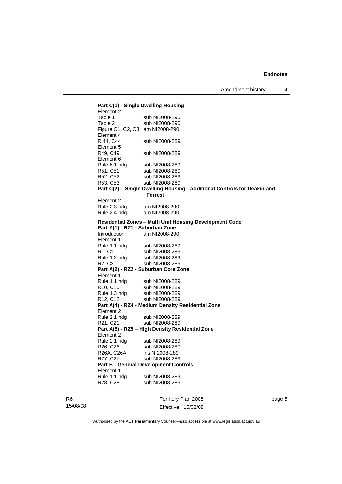Amendment history 4

**Part C(1) - Single Dwelling Housing**  Element 2 Table 1 sub NI2008-290<br>Table 2 sub NI2008-290 sub NI2008-290 Figure C1, C2, C3 am NI2008-290 Element 4 R 44, C44 sub NI2008-289 Element 5 R49, C49 sub NI2008-289 Element 6 Rule 6.1 hdg sub NI2008-289 R51, C51 sub NI2008-289 R52, C52 sub NI2008-289<br>R53, C53 sub NI2008-289 sub NI2008-289 **Part C(2) – Single Dwelling Housing - Additional Controls for Deakin and Forrest**  Element 2 Rule 2.3 hdg am NI2008-290 Rule 2.4 hdg am NI2008-290 **Residential Zones – Multi Unit Housing Development Code Part A(1) - RZ1 - Suburban Zone**  Introduction am NI2008-290 Element 1 Rule 1.1 hdg sub NI2008-289 R1, C1 sub NI2008-289 Rule 1.2 hdg sub NI2008-289 R2, C2 sub NI2008-289 **Part A(2) - RZ2 - Suburban Core Zone**  Element 1 Rule 1.1 hdg sub NI2008-289<br>R10, C10 sub NI2008-289 sub NI2008-289 Rule 1.3 hdg sub NI2008-289 R12, C12 sub NI2008-289 **Part A(4) - RZ4 - Medium Density Residential Zone**  Element 2 Rule 2.1 hdg sub NI2008-289<br>R21, C21 sub NI2008-289 sub NI2008-289 **Part A(5) - RZ5 – High Density Residential Zone**  Element 2 Rule 2.1 hdg sub NI2008-289 R26, C26 sub NI2008-289 R26A, C26A ins NI2008-289<br>R27, C27 sub NI2008-289 sub NI2008-289 **Part B - General Development Controls**  Element 1 Rule 1.1 hdg sub NI2008-289 R28, C28 sub NI2008-289

R6 15/08/08 Territory Plan 2008 Effective: 15/08/08 page 5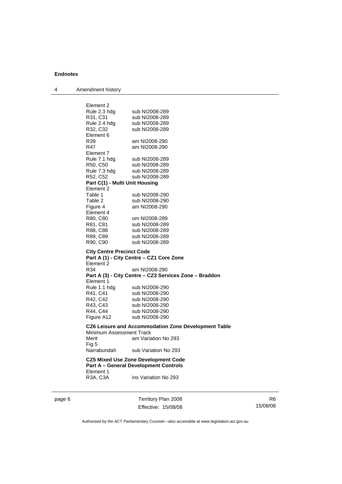4 Amendment history

Element 2<br>Rule 2.3 hdg sub NI2008-289 R31, C31 sub NI2008-289 Rule 2.4 hdg sub NI2008-289<br>R32, C32 sub NI2008-289 sub NI2008-289 Element 6 R39 am NI2008-290<br>R47 am NI2008-290 am NI2008-290 Element 7 Rule 7.1 hdg sub NI2008-289 R50, C50 sub NI2008-289 Rule 7.3 hdg sub NI2008-289 R52, C52 sub NI2008-289 **Part C(1) - Multi Unit Housing**  Element 2 Table 1 sub NI2008-290<br>Table 2 sub NI2008-290 Table 2 sub NI2008-290<br>Figure 4 am NI2008-290 am NI2008-290 Element 4<br>R80, C80 R80, C80 om NI2008-289<br>R81, C81 sub NI2008-289 sub NI2008-289 R88, C88 sub NI2008-289 R89, C89 sub NI2008-289 R90, C90 sub NI2008-289 **[City Centre Precinct Code](http://www.legislation.act.gov.au/ni/2008-27/current/?identifier=Commercial+ZonesCity+Centre+Precinct+Code) Part A (1) - City Centre – CZ1 Core Zone**  Element 2 R34 am NI2008-290 **Part A (3) - City Centre – CZ3 Services Zone – Braddon**  Element 1<br>Rule 1.1 hdg sub NI2008-290 R41, C41 sub NI2008-290 R42, C42 sub NI2008-290<br>R43, C43 sub NI2008-290 sub NI2008-290 R44, C44 sub NI2008-290 Figure A12 sub NI2008-290 **CZ6 Leisure and Accommodation Zone Development Table** Minimum Assessment Track Merit am Variation No 293 Fig 5 Narrabundah sub Variation No 293 **CZ5 Mixed Use Zone Development Code Part A – General Development Controls**  Element 1 R3A, C3A ins Variation No 293

page 6 Territory Plan 2008 Effective: 15/08/08

R6 15/08/08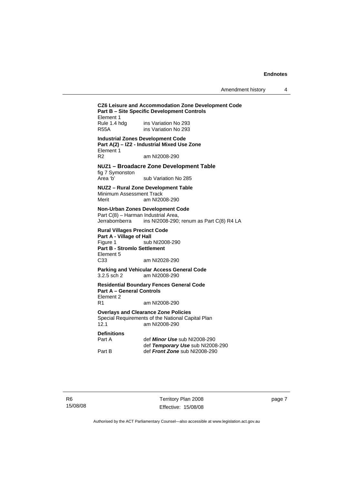**CZ6 Leisure and Accommodation Zone Development Code Part B – Site Specific Development Controls**  Element 1<br>Rule 1.4 hdg Rule 1.4 hdg ins Variation No 293<br>R55A ins Variation No 293 ins Variation No 293

**Industrial Zones Development Code Part A(2) – IZ2 - Industrial Mixed Use Zone**  Element 1 R2 am NI2008-290

**NUZ1 – Broadacre Zone Development Table**  fig 7 Symonston

Area 'b' sub Variation No 285

**NUZ2 – Rural Zone Development Table**  Minimum Assessment Track Merit am NI2008-290

**Non-Urban Zones Development Code**  Part C(8) – Harman Industrial Area, Jerrabomberra ins NI2008-290; renum as Part C(8) R4 LA

**Rural Villages Precinct Code Part A - Village of Hall**  Figure 1 sub NI2008-290 **Part B - Stromlo Settlement**  Element 5<br>C33 am NI2028-290

**Parking and Vehicular Access General Code**  3.2.5 sch 2 am NI2008-290

**Residential Boundary Fences General Code Part A – General Controls**  Element 2 R1 am NI2008-290

**Overlays and Clearance Zone Policies**  Special Requirements of the National Capital Plan 12.1 am NI2008-290

## **Definitions**

| Part A | def <i>Minor Use</i> sub NI2008-290 |
|--------|-------------------------------------|
|        | def Temporary Use sub NI2008-290    |
| Part B | def Front Zone sub NI2008-290       |

Territory Plan 2008 Effective: 15/08/08 page 7